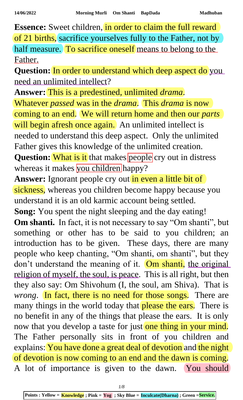**Essence:** Sweet children, in order to claim the full reward of 21 births, sacrifice yourselves fully to the Father, not by half measure. To sacrifice oneself means to belong to the Father.

**Question:** In order to understand which deep aspect do you need an unlimited intellect?

**Answer:** This is a predestined, unlimited *drama*. Whatever *passed* was in the *drama*. This *drama* is now coming to an end. We will return home and then our *parts* will begin afresh once again. An unlimited intellect is needed to understand this deep aspect. Only the unlimited Father gives this knowledge of the unlimited creation. **Question:** What is it that makes people cry out in distress whereas it makes you children happy?

Answer: Ignorant people cry out in even a little bit of sickness, whereas you children become happy because you understand it is an old karmic account being settled.

**Song:** You spent the night sleeping and the day eating!

**Om shanti.** In fact, it is not necessary to say "Om shanti", but something or other has to be said to you children; an introduction has to be given. These days, there are many people who keep chanting, "Om shanti, om shanti", but they don't understand the meaning of it. Om shanti, the original religion of myself, the soul, is peace. This is all right, but then they also say: Om Shivohum (I, the soul, am Shiva). That is *wrong*. In fact, there is no need for those songs. There are many things in the world today that **please the ears.** There is no benefit in any of the things that please the ears. It is only now that you develop a taste for just one thing in your mind. The Father personally sits in front of you children and explains: You have done a great deal of devotion and the night of devotion is now coming to an end and the dawn is coming. A lot of importance is given to the dawn. You should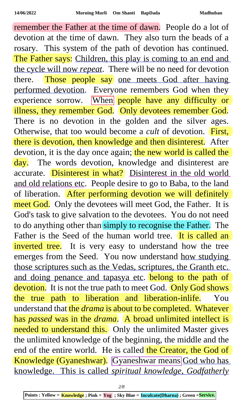remember the Father at the time of dawn. People do a lot of devotion at the time of dawn. They also turn the beads of a rosary. This system of the path of devotion has continued. The Father says: Children, this play is coming to an end and the cycle will now *repeat*. There will be no need for devotion there. Those people say one meets God after having performed devotion. Everyone remembers God when they experience sorrow. When people have any difficulty or illness, they remember God. Only devotees remember God. There is no devotion in the golden and the silver ages. Otherwise, that too would become a *cult* of devotion. First, there is devotion, then knowledge and then disinterest. After devotion, it is the day once again; the new world is called the day. The words devotion, knowledge and disinterest are accurate. Disinterest in what? Disinterest in the old world and old relations etc. People desire to go to Baba, to the land of liberation. After performing devotion we will definitely meet God. Only the devotees will meet God, the Father. It is God's task to give salvation to the devotees. You do not need to do anything other than simply to recognise the Father. The Father is the Seed of the human world tree. It is called an inverted tree. It is very easy to understand how the tree emerges from the Seed. You now understand how studying those scriptures such as the Vedas, scriptures, the Granth etc. and doing penance and tapasya etc. belong to the path of devotion. It is not the true path to meet God. Only God shows the true path to liberation and liberation-inlife. You understand that the *drama* is about to be completed. Whatever has *passed* was in the *drama*. A broad unlimited intellect is needed to understand this. Only the unlimited Master gives the unlimited knowledge of the beginning, the middle and the end of the entire world. He is called the Creator, the God of Knowledge (Gyaneshwar). Gyaneshwar means God who has knowledge. This is called *spiritual knowledge*, *Godfatherly*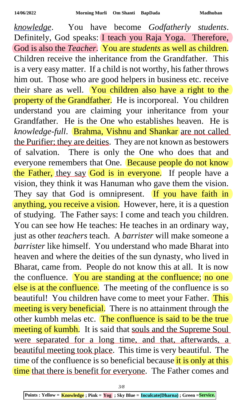*knowledge*. You have become *Godfatherly students*. Definitely, God speaks: I teach you Raja Yoga. Therefore, God is also the *Teacher*. You are *students* as well as children. Children receive the inheritance from the Grandfather. This is a very easy matter. If a child is not worthy, his father throws him out. Those who are good helpers in business etc. receive their share as well. You children also have a right to the property of the Grandfather. He is incorporeal. You children understand you are claiming your inheritance from your Grandfather. He is the One who establishes heaven. He is *knowledge-full*. Brahma, Vishnu and Shankar are not called the Purifier; they are deities. They are not known as bestowers of salvation. There is only the One who does that and everyone remembers that One. Because people do not know the Father, they say God is in everyone. If people have a vision, they think it was Hanuman who gave them the vision. They say that God is omnipresent. If you have faith in anything, you receive a vision. However, here, it is a question of studying. The Father says: I come and teach you children. You can see how He teaches: He teaches in an ordinary way, just as other *teachers* teach. A *barrister* will make someone a *barrister* like himself. You understand who made Bharat into heaven and where the deities of the sun dynasty, who lived in Bharat, came from. People do not know this at all. It is now the confluence. You are standing at the confluence; no one else is at the confluence. The meeting of the confluence is so beautiful! You children have come to meet your Father. This meeting is very beneficial. There is no attainment through the other kumbh melas etc. The confluence is said to be the true meeting of kumbh. It is said that souls and the Supreme Soul were separated for a long time, and that, afterwards, a beautiful meeting took place. This time is very beautiful. The time of the confluence is so beneficial because it is only at this time that there is benefit for everyone. The Father comes and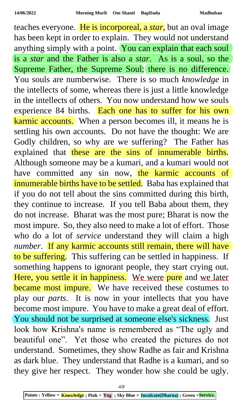teaches everyone. He is incorporeal, a *star*, but an oval image has been kept in order to explain. They would not understand anything simply with a point. You can explain that each soul is a *star* and the Father is also a *star*. As is a soul, so the Supreme Father, the Supreme Soul; there is no difference. You souls are numberwise. There is so much *knowledge* in the intellects of some, whereas there is just a little knowledge in the intellects of others. You now understand how we souls experience 84 births. Each one has to suffer for his own karmic accounts. When a person becomes ill, it means he is settling his own accounts. Do not have the thought: We are Godly children, so why are we suffering? The Father has explained that these are the sins of innumerable births. Although someone may be a kumari, and a kumari would not have committed any sin now, the karmic accounts of innumerable births have to be settled. Baba has explained that if you do not tell about the sins committed during this birth, they continue to increase. If you tell Baba about them, they do not increase. Bharat was the most pure; Bharat is now the most impure. So, they also need to make a lot of effort. Those who do a lot of *service* understand they will claim a high *number*. If any karmic accounts still remain, there will have to be suffering. This suffering can be settled in happiness. If something happens to ignorant people, they start crying out. Here, you settle it in happiness. We were pure and we later became most impure. We have received these costumes to play our *parts*. It is now in your intellects that you have become most impure. You have to make a great deal of effort. You should not be surprised at someone else's sickness. Just look how Krishna's name is remembered as "The ugly and beautiful one". Yet those who created the pictures do not understand. Sometimes, they show Radhe as fair and Krishna as dark blue. They understand that Radhe is a kumari, and so they give her respect. They wonder how she could be ugly.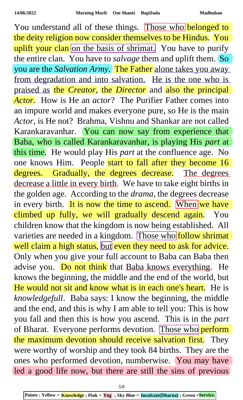You understand all of these things. Those who belonged to the deity religion now consider themselves to be Hindus. You uplift your clan on the basis of shrimat. You have to purify the entire clan. You have to *salvage* them and uplift them. So you are the *Salvation Army*. The Father alone takes you away from degradation and into salvation. He is the one who is praised as the *Creator*, the *Director* and also the principal *Actor*. How is He an *actor*? The Purifier Father comes into an impure world and makes everyone pure, so He is the main *Actor*, is He not? Brahma, Vishnu and Shankar are not called Karankaravanhar. You can now say from experience that Baba, who is called Karankaravanhar, is playing His *part* at this time. He would play His *part* at the confluence age. No one knows Him. People start to fall after they become 16 degrees. Gradually, the degrees decrease. The degrees decrease a little in every birth. We have to take eight births in the golden age. According to the *drama*, the degrees decrease in every birth. It is now the time to ascend. When we have climbed up fully, we will gradually descend again. You children know that the kingdom is now being established. All varieties are needed in a kingdom. Those who follow shrimat well claim a high status, but even they need to ask for advice. Only when you give your full account to Baba can Baba then advise you. Do not think that Baba knows everything. He knows the beginning, the middle and the end of the world, but He would not sit and know what is in each one's heart. He is *knowledgefull*. Baba says: I know the beginning, the middle and the end, and this is why I am able to tell you: This is how you fall and then this is how you ascend. This is in the *part* of Bharat. Everyone performs devotion. Those who perform the maximum devotion should receive salvation first. They were worthy of worship and they took 84 births. They are the ones who performed devotion, numberwise. You may have led a good life now, but there are still the sins of previous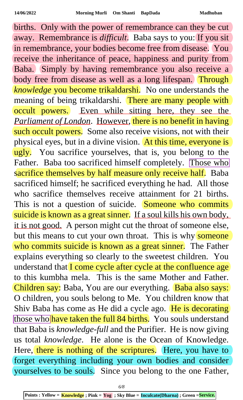births. Only with the power of remembrance can they be cut away. Remembrance is *difficult*. Baba says to you: If you sit in remembrance, your bodies become free from disease. You receive the inheritance of peace, happiness and purity from Baba. Simply by having remembrance you also receive a body free from disease as well as a long lifespan. Through *knowledge* you become trikaldarshi. No one understands the meaning of being trikaldarshi. There are many people with occult powers. Even while sitting here, they see the *Parliament of London*. However, there is no benefit in having such occult powers. Some also receive visions, not with their physical eyes, but in a divine vision. At this time, everyone is ugly. You sacrifice yourselves, that is, you belong to the Father. Baba too sacrificed himself completely. Those who sacrifice themselves by half measure only receive half. Baba sacrificed himself; he sacrificed everything he had. All those who sacrifice themselves receive attainment for 21 births. This is not a question of suicide. Someone who commits suicide is known as a great sinner. If a soul kills his own body, it is not good. A person might cut the throat of someone else, but this means to cut your own throat. This is why someone who commits suicide is known as a great sinner. The Father explains everything so clearly to the sweetest children. You understand that I come cycle after cycle at the confluence age to this kumbha mela. This is the same Mother and Father. Children say: Baba, You are our everything. Baba also says: O children, you souls belong to Me. You children know that Shiv Baba has come as He did a cycle ago. He is decorating those who have taken the full 84 births. You souls understand that Baba is *knowledge-full* and the Purifier. He is now giving us total *knowledge*. He alone is the Ocean of Knowledge. Here, there is nothing of the scriptures. Here, you have to forget everything including your own bodies and consider yourselves to be souls. Since you belong to the one Father,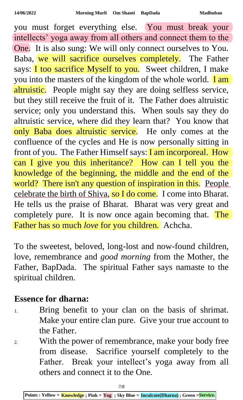you must forget everything else. You must break your intellects' yoga away from all others and connect them to the One. It is also sung: We will only connect ourselves to You. Baba, we will sacrifice ourselves completely. The Father says: **I too sacrifice Myself to you.** Sweet children, I make you into the masters of the kingdom of the whole world. **I am** altruistic. People might say they are doing selfless service, but they still receive the fruit of it. The Father does altruistic service; only you understand this. When souls say they do altruistic service, where did they learn that? You know that only Baba does altruistic service. He only comes at the confluence of the cycles and He is now personally sitting in front of you. The Father Himself says: **I am incorporeal. How** can I give you this inheritance? How can I tell you the knowledge of the beginning, the middle and the end of the world? There isn't any question of inspiration in this. People celebrate the birth of Shiva, so I do come. I come into Bharat. He tells us the praise of Bharat. Bharat was very great and completely pure. It is now once again becoming that. The Father has so much *love* for you children. Achcha.

To the sweetest, beloved, long-lost and now-found children, love, remembrance and *good morning* from the Mother, the Father, BapDada. The spiritual Father says namaste to the spiritual children.

## **Essence for dharna:**

- 1. Bring benefit to your clan on the basis of shrimat. Make your entire clan pure. Give your true account to the Father.
- 2. With the power of remembrance, make your body free from disease. Sacrifice yourself completely to the Father. Break your intellect's yoga away from all others and connect it to the One.

**Points : Yellow = Knowledge ; Pink = Yog ; Sky Blue = Inculcate(Dharna) ; Green =Service.**